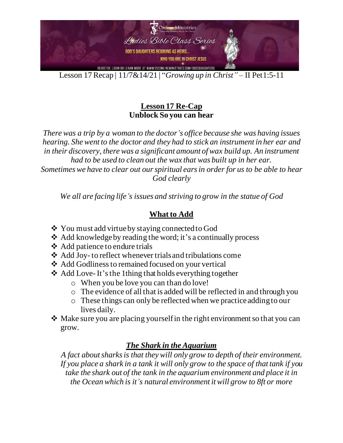

Lesson 17 Recap | 11/7&14/21 | "*Growing up in Christ"* – II Pet1:5-11

## **Lesson 17 Re-Cap Unblock So you can hear**

*There was a trip by a woman to the doctor's office because she was having issues hearing. She went to the doctor and they had to stick an instrument in her ear and in their discovery, there was a significant amount of wax build up. An instrument had to be used to clean out the wax that was built up in her ear. Sometimes we have to clear out our spiritual ears in order for us to be able to hear God clearly*

*We all are facing life's issues and striving to grow in the statue of God*

## **What to Add**

- ❖ You must add virtueby staying connected to God
- ❖ Add knowledge by reading the word; it's a continually process
- ❖ Add patience to endure trials
- ❖ Add Joy-to reflect whenever trials and tribulations come
- ❖ Add Godliness to remained focused on your vertical
- ❖ Add Love-It's the 1thing that holds everything together
	- o When you be love you can than do love!
	- o The evidence of all that is added will be reflected in and through you
	- o These things can only be reflected when we practice adding to our lives daily.
- $\cdot$  Make sure you are placing yourself in the right environment so that you can grow.

## *The Shark in the Aquarium*

*A fact about sharks is that they will only grow to depth of their environment. If you place a shark in a tank it will only grow to the space of that tank if you take the shark out of the tank in the aquarium environment and place it in the Ocean which is it's natural environment it will grow to 8ft or more*